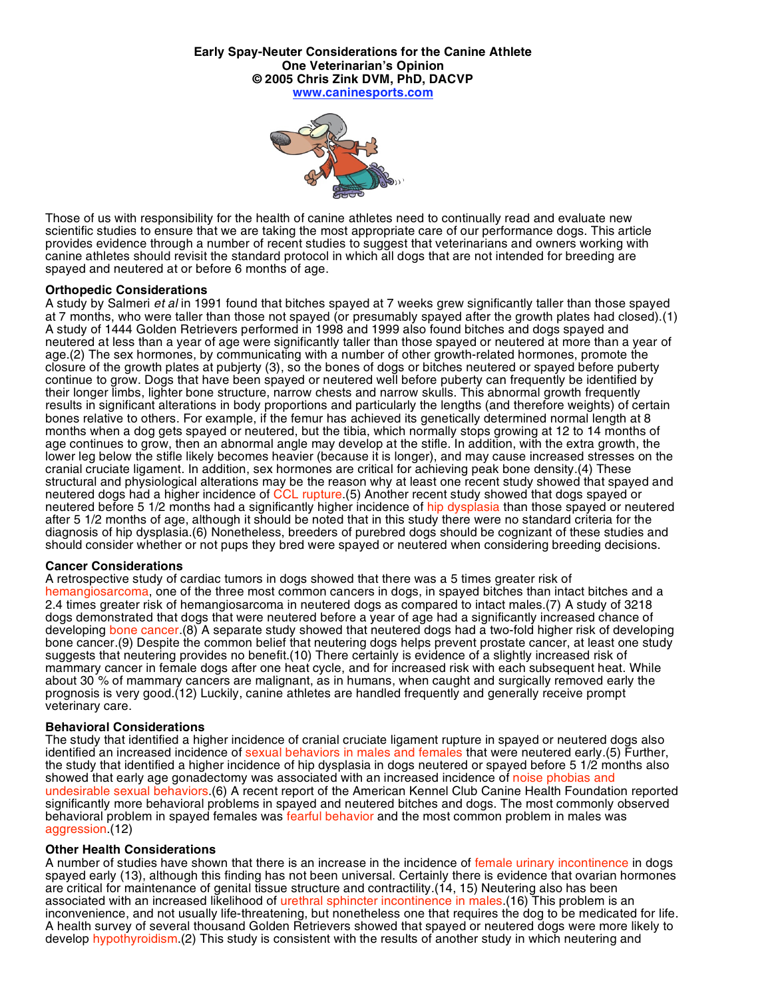**Early Spay-Neuter Considerations for the Canine Athlete One Veterinarian's Opinion © 2005 Chris Zink DVM, PhD, DACVP www.caninesports.com**



Those of us with responsibility for the health of canine athletes need to continually read and evaluate new scientific studies to ensure that we are taking the most appropriate care of our performance dogs. This article provides evidence through a number of recent studies to suggest that veterinarians and owners working with canine athletes should revisit the standard protocol in which all dogs that are not intended for breeding are spayed and neutered at or before 6 months of age.

### **Orthopedic Considerations**

A study by Salmeri *et al* in 1991 found that bitches spayed at 7 weeks grew significantly taller than those spayed at 7 months, who were taller than those not spayed (or presumably spayed after the growth plates had closed).(1) A study of 1444 Golden Retrievers performed in 1998 and 1999 also found bitches and dogs spayed and neutered at less than a year of age were significantly taller than those spayed or neutered at more than a year of age.(2) The sex hormones, by communicating with a number of other growth-related hormones, promote the closure of the growth plates at pubjerty (3), so the bones of dogs or bitches neutered or spayed before puberty continue to grow. Dogs that have been spayed or neutered well before puberty can frequently be identified by their longer limbs, lighter bone structure, narrow chests and narrow skulls. This abnormal growth frequently results in significant alterations in body proportions and particularly the lengths (and therefore weights) of certain bones relative to others. For example, if the femur has achieved its genetically determined normal length at 8 months when a dog gets spayed or neutered, but the tibia, which normally stops growing at 12 to 14 months of age continues to grow, then an abnormal angle may develop at the stifle. In addition, with the extra growth, the lower leg below the stifle likely becomes heavier (because it is longer), and may cause increased stresses on the cranial cruciate ligament. In addition, sex hormones are critical for achieving peak bone density.(4) These structural and physiological alterations may be the reason why at least one recent study showed that spayed and neutered dogs had a higher incidence of CCL rupture.(5) Another recent study showed that dogs spayed or neutered before 5 1/2 months had a significantly higher incidence of hip dysplasia than those spayed or neutered after 5 1/2 months of age, although it should be noted that in this study there were no standard criteria for the diagnosis of hip dysplasia.(6) Nonetheless, breeders of purebred dogs should be cognizant of these studies and should consider whether or not pups they bred were spayed or neutered when considering breeding decisions.

# **Cancer Considerations**

A retrospective study of cardiac tumors in dogs showed that there was a 5 times greater risk of hemangiosarcoma, one of the three most common cancers in dogs, in spayed bitches than intact bitches and a 2.4 times greater risk of hemangiosarcoma in neutered dogs as compared to intact males.(7) A study of 3218 dogs demonstrated that dogs that were neutered before a year of age had a significantly increased chance of developing bone cancer.(8) A separate study showed that neutered dogs had a two-fold higher risk of developing bone cancer.(9) Despite the common belief that neutering dogs helps prevent prostate cancer, at least one study suggests that neutering provides no benefit.(10) There certainly is evidence of a slightly increased risk of mammary cancer in female dogs after one heat cycle, and for increased risk with each subsequent heat. While about 30 % of mammary cancers are malignant, as in humans, when caught and surgically removed early the prognosis is very good.(12) Luckily, canine athletes are handled frequently and generally receive prompt veterinary care.

### **Behavioral Considerations**

The study that identified a higher incidence of cranial cruciate ligament rupture in spayed or neutered dogs also identified an increased incidence of sexual behaviors in males and females that were neutered early.(5) Further, the study that identified a higher incidence of hip dysplasia in dogs neutered or spayed before 5 1/2 months also showed that early age gonadectomy was associated with an increased incidence of noise phobias and undesirable sexual behaviors.(6) A recent report of the American Kennel Club Canine Health Foundation reported significantly more behavioral problems in spayed and neutered bitches and dogs. The most commonly observed behavioral problem in spayed females was fearful behavior and the most common problem in males was aggression.(12)

### **Other Health Considerations**

A number of studies have shown that there is an increase in the incidence of female urinary incontinence in dogs spayed early (13), although this finding has not been universal. Certainly there is evidence that ovarian hormones are critical for maintenance of genital tissue structure and contractility.(14, 15) Neutering also has been associated with an increased likelihood of urethral sphincter incontinence in males.(16) This problem is an inconvenience, and not usually life-threatening, but nonetheless one that requires the dog to be medicated for life. A health survey of several thousand Golden Retrievers showed that spayed or neutered dogs were more likely to develop hypothyroidism.(2) This study is consistent with the results of another study in which neutering and